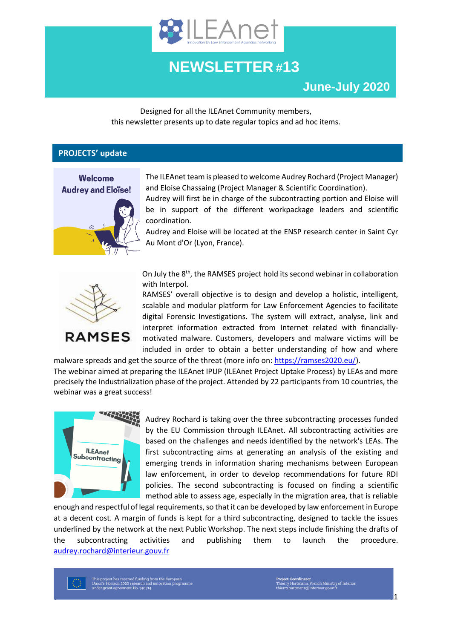

## **NEWSLETTER #13**

Designed for all the ILEAnet Community members, this newsletter presents up to date regular topics and ad hoc items.

#### **PROJECTS' update**



The ILEAnet team is pleased to welcome Audrey Rochard (Project Manager) and Eloise Chassaing (Project Manager & Scientific Coordination).

Audrey will first be in charge of the subcontracting portion and Eloise will be in support of the different workpackage leaders and scientific coordination.

Audrey and Eloise will be located at the ENSP research center in Saint Cyr Au Mont d'Or (Lyon, France).



On July the 8<sup>th</sup>, the RAMSES project hold its second webinar in collaboration with Interpol.

RAMSES' overall objective is to design and develop a holistic, intelligent, scalable and modular platform for Law Enforcement Agencies to facilitate digital Forensic Investigations. The system will extract, analyse, link and interpret information extracted from Internet related with financiallymotivated malware. Customers, developers and malware victims will be included in order to obtain a better understanding of how and where

malware spreads and get the source of the threat (more info on[: https://ramses2020.eu/\)](https://ramses2020.eu/). The webinar aimed at preparing the ILEAnet IPUP (ILEAnet Project Uptake Process) by LEAs and more precisely the Industrialization phase of the project. Attended by 22 participants from 10 countries, the webinar was a great success!



Audrey Rochard is taking over the three subcontracting processes funded by the EU Commission through ILEAnet. All subcontracting activities are based on the challenges and needs identified by the network's LEAs. The first subcontracting aims at generating an analysis of the existing and emerging trends in information sharing mechanisms between European law enforcement, in order to develop recommendations for future RDI policies. The second subcontracting is focused on finding a scientific method able to assess age, especially in the migration area, that is reliable

enough and respectful of legal requirements, so that it can be developed by law enforcement in Europe at a decent cost. A margin of funds is kept for a third subcontracting, designed to tackle the issues underlined by the network at the next Public Workshop. The next steps include finishing the drafts of the subcontracting activities and publishing them to launch the procedure. [audrey.rochard@interieur.gouv.fr](mailto:audrey.rochard@interieur.gouv.fr)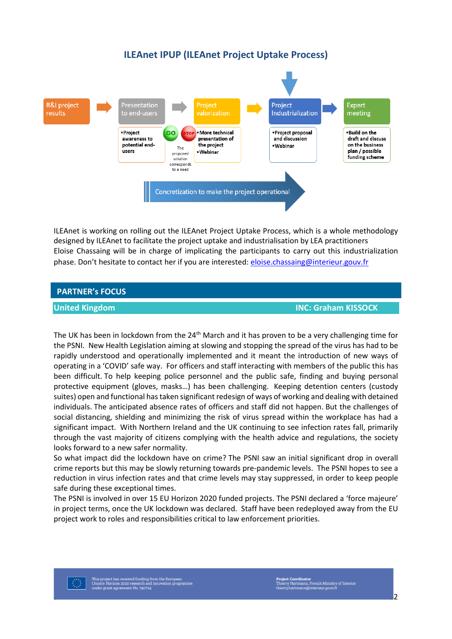#### **ILEAnet IPUP (ILEAnet Project Uptake Process)**



ILEAnet is working on rolling out the ILEAnet Project Uptake Process, which is a whole methodology designed by ILEAnet to facilitate the project uptake and industrialisation by LEA practitioners Eloise Chassaing will be in charge of implicating the participants to carry out this industrialization phase. Don't hesitate to contact her if you are interested: [eloise.chassaing@interieur.gouv.fr](mailto:eloise.chassaing@interieur.gouv.fr)

#### **PARTNER's FOCUS**

**United Kingdom INC: [Graham KISSOCK](mailto:GRAHAM.KISSOCK@psni.pnn.police.uk)**

The UK has been in lockdown from the 24<sup>th</sup> March and it has proven to be a very challenging time for the PSNI. New Health Legislation aiming at slowing and stopping the spread of the virus has had to be rapidly understood and operationally implemented and it meant the introduction of new ways of operating in a 'COVID' safe way. For officers and staff interacting with members of the public this has been difficult. To help keeping police personnel and the public safe, finding and buying personal protective equipment (gloves, masks…) has been challenging. Keeping detention centers (custody suites) open and functional has taken significant redesign of ways of working and dealing with detained individuals. The anticipated absence rates of officers and staff did not happen. But the challenges of social distancing, shielding and minimizing the risk of virus spread within the workplace has had a significant impact. With Northern Ireland and the UK continuing to see infection rates fall, primarily through the vast majority of citizens complying with the health advice and regulations, the society looks forward to a new safer normality.

So what impact did the lockdown have on crime? The PSNI saw an initial significant drop in overall crime reports but this may be slowly returning towards pre-pandemic levels. The PSNI hopes to see a reduction in virus infection rates and that crime levels may stay suppressed, in order to keep people safe during these exceptional times.

The PSNI is involved in over 15 EU Horizon 2020 funded projects. The PSNI declared a 'force majeure' in project terms, once the UK lockdown was declared. Staff have been redeployed away from the EU project work to roles and responsibilities critical to law enforcement priorities.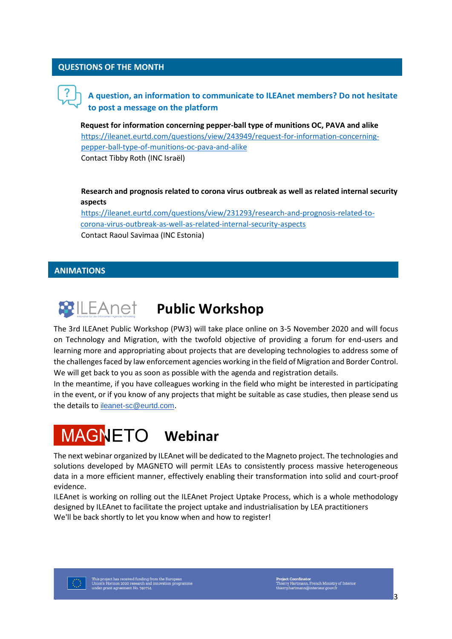#### **QUESTIONS OF THE MONTH**

### **A question, an information to communicate to ILEAnet members? Do not hesitate to post a message on the platform**

**Request for information concerning pepper-ball type of munitions OC, PAVA and alike** [https://ileanet.eurtd.com/questions/view/243949/request-for-information-concerning](https://ileanet.eurtd.com/questions/view/243949/request-for-information-concerning-pepper-ball-type-of-munitions-oc-pava-and-alike)[pepper-ball-type-of-munitions-oc-pava-and-alike](https://ileanet.eurtd.com/questions/view/243949/request-for-information-concerning-pepper-ball-type-of-munitions-oc-pava-and-alike) Contact Tibby Roth (INC Israël)

**[Research and prognosis related to corona virus outbreak as well as related internal security](https://ileanet.eurtd.com/questions/view/231293/research-and-prognosis-related-to-corona-virus-outbreak-as-well-as-related-internal-security-aspects)  [aspects](https://ileanet.eurtd.com/questions/view/231293/research-and-prognosis-related-to-corona-virus-outbreak-as-well-as-related-internal-security-aspects)**

[https://ileanet.eurtd.com/questions/view/231293/research-and-prognosis-related-to](https://ileanet.eurtd.com/questions/view/231293/research-and-prognosis-related-to-corona-virus-outbreak-as-well-as-related-internal-security-aspects)[corona-virus-outbreak-as-well-as-related-internal-security-aspects](https://ileanet.eurtd.com/questions/view/231293/research-and-prognosis-related-to-corona-virus-outbreak-as-well-as-related-internal-security-aspects) Contact Raoul Savimaa (INC Estonia)

#### **ANIMATIONS**



## **Public Workshop**

The 3rd ILEAnet Public Workshop (PW3) will take place online on 3-5 November 2020 and will focus on Technology and Migration, with the twofold objective of providing a forum for end-users and learning more and appropriating about projects that are developing technologies to address some of the challenges faced by law enforcement agencies working in the field of Migration and Border Control. We will get back to you as soon as possible with the agenda and registration details.

In the meantime, if you have colleagues working in the field who might be interested in participating in the event, or if you know of any projects that might be suitable as case studies, then please send us the details to [ileanet-sc@eurtd.com](mailto:ileanet-sc@eurtd.com).

# **MAGNETO** Webinar

The next webinar organized by ILEAnet will be dedicated to the Magneto project. The technologies and solutions developed by MAGNETO will permit LEAs to consistently process massive heterogeneous data in a more efficient manner, effectively enabling their transformation into solid and court-proof evidence.

ILEAnet is working on rolling out the ILEAnet Project Uptake Process, which is a whole methodology designed by ILEAnet to facilitate the project uptake and industrialisation by LEA practitioners We'll be back shortly to let you know when and how to register!